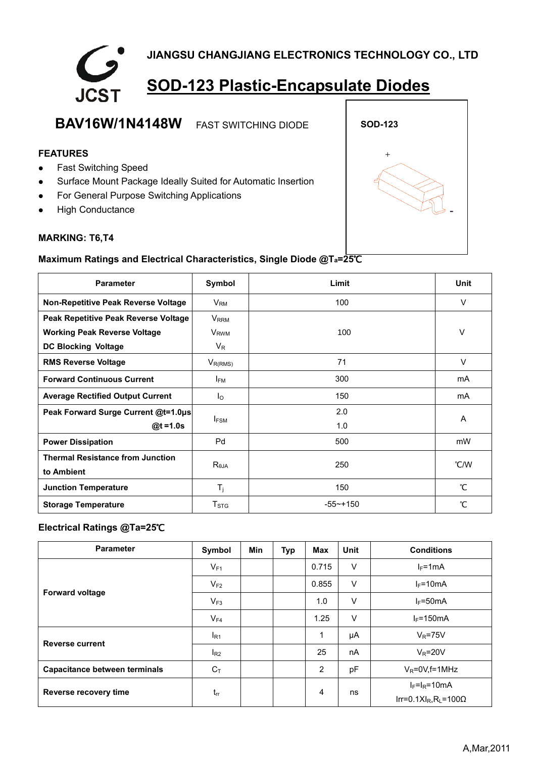

# **BAV16W/1N4148W** FAST SWITCHING DIODE **SOD-123 FEATURES** + • Fast Switching Speed • Surface Mount Package Ideally Suited for Automatic Insertion • For General Purpose Switching Applications • High Conductance

#### **MARKING: T6,T4**

## **Maximum Ratings and Electrical Characteristics, Single Diode @Ta=25**℃

| <b>Parameter</b>                        | Symbol                   | Limit       | Unit          |
|-----------------------------------------|--------------------------|-------------|---------------|
| Non-Repetitive Peak Reverse Voltage     | 100<br>$V_{\mathsf{RM}}$ |             | $\vee$        |
| Peak Repetitive Peak Reverse Voltage    | <b>V</b> <sub>RRM</sub>  |             |               |
| <b>Working Peak Reverse Voltage</b>     | <b>V</b> <sub>RWM</sub>  | 100         | V             |
| <b>DC Blocking Voltage</b>              | $V_{R}$                  |             |               |
| <b>RMS Reverse Voltage</b>              | $V_{R(RMS)}$             | 71          | V             |
| <b>Forward Continuous Current</b>       | $I_{FM}$                 | 300         | mA            |
| <b>Average Rectified Output Current</b> | $I_{\Omega}$             | 150         | mA            |
| Peak Forward Surge Current @t=1.0µs     | $I_{FSM}$                | 2.0         |               |
| $@t = 1.0s$                             |                          | 1.0         | A             |
| <b>Power Dissipation</b>                | Pd                       | 500         | mW            |
| <b>Thermal Resistance from Junction</b> |                          | 250         | °C/W          |
| to Ambient                              | $R_{\theta$ JA           |             |               |
| <b>Junction Temperature</b>             | $T_j$                    | 150         | $\mathcal{C}$ |
| <b>Storage Temperature</b>              | T <sub>STG</sub>         | $-55$ ~+150 | °С            |

### **Electrical Ratings @Ta=25**℃

| <b>Parameter</b>                     | Symbol   | <b>Min</b> | <b>Typ</b> | Max   | <b>Unit</b> | <b>Conditions</b>                                     |
|--------------------------------------|----------|------------|------------|-------|-------------|-------------------------------------------------------|
| <b>Forward voltage</b>               | $V_{F1}$ |            |            | 0.715 | $\vee$      | $I_F = 1mA$                                           |
|                                      | $V_{F2}$ |            |            | 0.855 | V           | $I_F = 10mA$                                          |
|                                      | $V_{F3}$ |            |            | 1.0   | V           | $I_F = 50mA$                                          |
|                                      | $V_{F4}$ |            |            | 1.25  | $\vee$      | $I_F = 150mA$                                         |
| <b>Reverse current</b>               | $I_{R1}$ |            |            | 1     | μA          | $V_R = 75V$                                           |
|                                      | $I_{R2}$ |            |            | 25    | nA          | $V_R = 20V$                                           |
| <b>Capacitance between terminals</b> | $C_T$    |            |            | 2     | pF          | $V_R = 0V$ , f = 1MHz                                 |
| Reverse recovery time                | $t_{rr}$ |            |            | 4     | ns          | $I_F=I_R=10mA$                                        |
|                                      |          |            |            |       |             | Irr=0.1XI <sub>R</sub> , R <sub>L</sub> =100 $\Omega$ |

-